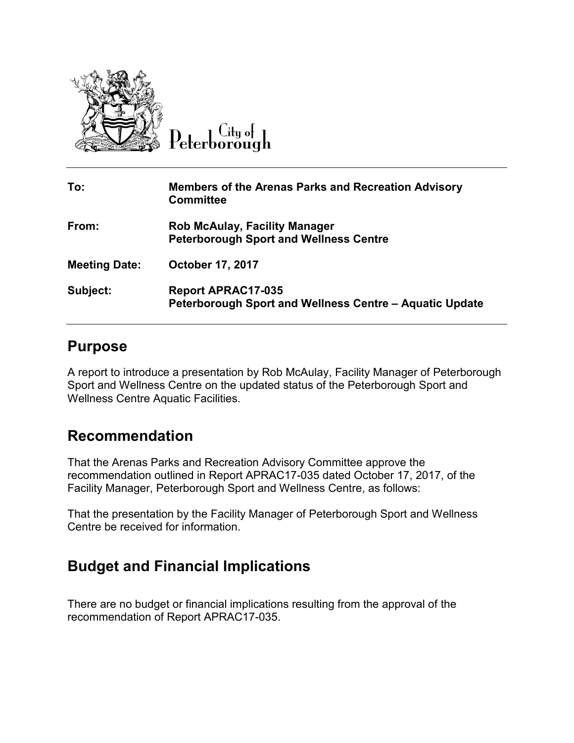

 $C$ ity of Peterborough

| To:                  | <b>Members of the Arenas Parks and Recreation Advisory</b><br><b>Committee</b>        |
|----------------------|---------------------------------------------------------------------------------------|
| From:                | <b>Rob McAulay, Facility Manager</b><br><b>Peterborough Sport and Wellness Centre</b> |
| <b>Meeting Date:</b> | <b>October 17, 2017</b>                                                               |
| Subject:             | <b>Report APRAC17-035</b><br>Peterborough Sport and Wellness Centre - Aquatic Update  |

## **Purpose**

A report to introduce a presentation by Rob McAulay, Facility Manager of Peterborough Sport and Wellness Centre on the updated status of the Peterborough Sport and Wellness Centre Aquatic Facilities.

## **Recommendation**

That the Arenas Parks and Recreation Advisory Committee approve the recommendation outlined in Report APRAC17-035 dated October 17, 2017, of the Facility Manager, Peterborough Sport and Wellness Centre, as follows:

That the presentation by the Facility Manager of Peterborough Sport and Wellness Centre be received for information.

## **Budget and Financial Implications**

There are no budget or financial implications resulting from the approval of the recommendation of Report APRAC17-035.